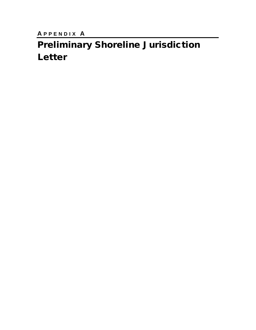**A PPENDIX A** 

# Preliminary Shoreline Jurisdiction Letter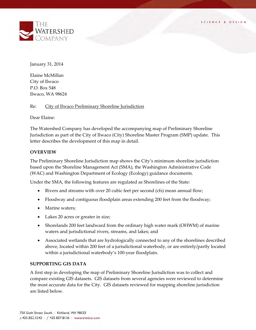

January 31, 2014

Elaine McMillan City of Ilwaco P.O. Box 548 Ilwaco, WA 98624

Re: City of Ilwaco Preliminary Shoreline Jurisdiction

Dear Elaine:

The Watershed Company has developed the accompanying map of Preliminary Shoreline Jurisdiction as part of the City of Ilwaco (City) Shoreline Master Program (SMP) update. This letter describes the development of this map in detail.

#### **OVERVIEW**

The Preliminary Shoreline Jurisdiction map shows the City's minimum shoreline jurisdiction based upon the Shoreline Management Act (SMA), the Washington Administrative Code (WAC) and Washington Department of Ecology (Ecology) guidance documents.

Under the SMA, the following features are regulated as Shorelines of the State:

- Rivers and streams with over 20 cubic feet per second (cfs) mean annual flow;
- Floodway and contiguous floodplain areas extending 200 feet from the floodway;
- Marine waters;
- Lakes 20 acres or greater in size;
- Shorelands 200 feet landward from the ordinary high water mark (OHWM) of marine waters and jurisdictional rivers, streams, and lakes; and
- Associated wetlands that are hydrologically connected to any of the shorelines described above, located within 200 feet of a jurisdictional waterbody, or are entirely/partly located within a jurisdictional waterbody's 100-year floodplain.

#### **SUPPORTING GIS DATA**

A first step in developing the map of Preliminary Shoreline Jurisdiction was to collect and compare existing GIS datasets. GIS datasets from several agencies were reviewed to determine the most accurate data for the City. GIS datasets reviewed for mapping shoreline jurisdiction are listed below.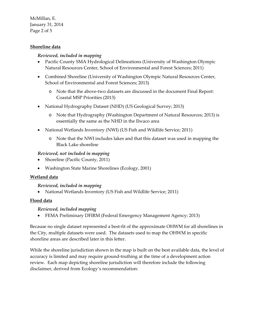McMillan, E. January 31, 2014 Page 2 of 5

# **Shoreline data**

## *Reviewed, included in mapping*

- Pacific County SMA Hydrological Delineations (University of Washington Olympic Natural Resources Center, School of Environmental and Forest Sciences; 2011)
- Combined Shoreline (University of Washington Olympic Natural Resources Center, School of Environmental and Forest Sciences; 2013)
	- o Note that the above-two datasets are discussed in the document Final Report: Coastal MSP Priorities (2013)
- National Hydrography Dataset (NHD) (US Geological Survey; 2013)
	- o Note that Hydrography (Washington Department of Natural Resources; 2013) is essentially the same as the NHD in the Ilwaco area
- National Wetlands Inventory (NWI) (US Fish and Wildlife Service; 2011)
	- o Note that the NWI includes lakes and that this dataset was used in mapping the Black Lake shoreline

# *Reviewed, not included in mapping*

- Shoreline (Pacific County, 2011)
- Washington State Marine Shorelines (Ecology, 2001)

## **Wetland data**

## *Reviewed, included in mapping*

• National Wetlands Inventory (US Fish and Wildlife Service; 2011)

## **Flood data**

## *Reviewed, included mapping*

• FEMA Preliminary DFIRM (Federal Emergency Management Agency; 2013)

Because no single dataset represented a best-fit of the approximate OHWM for all shorelines in the City, multiple datasets were used. The datasets used to map the OHWM in specific shoreline areas are described later in this letter.

While the shoreline jurisdiction shown in the map is built on the best available data, the level of accuracy is limited and may require ground-truthing at the time of a development action review. Each map depicting shoreline jurisdiction will therefore include the following disclaimer, derived from Ecology's recommendation: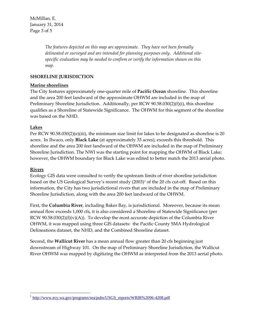McMillan, E. January 31, 2014 Page 3 of 5

> *The features depicted on this map are approximate. They have not been formally delineated or surveyed and are intended for planning purposes only. Additional sitespecific evaluation may be needed to confirm or verify the information shown on this map.*

# **SHORELINE JURISDICTION**

# **Marine shorelines**

The City features approximately one-quarter mile of **Pacific Ocean** shoreline. This shoreline and the area 200 feet landward of the approximate OHWM are included in the map of Preliminary Shoreline Jurisdiction. Additionally, per RCW 90.58.030(2)(f)(i), this shoreline qualifies as a Shoreline of Statewide Significance. The OHWM for this segment of the shoreline was based on the NHD.

## **Lakes**

Per RCW 90.58.030(2)(e)(iii), the minimum size limit for lakes to be designated as shoreline is 20 acres. In Ilwaco, only **Black Lake** (at approximately 33 acres), exceeds this threshold. This shoreline and the area 200 feet landward of the OHWM are included in the map of Preliminary Shoreline Jurisdiction. The NWI was the starting point for mapping the OHWM of Black Lake; however, the OHWM boundary for Black Lake was edited to better match the 2013 aerial photo.

## **Rivers**

Ecology GIS data were consulted to verify the upstream limits of river shoreline jurisdiction based on the US Geological Survey's recent study (2003)<sup>[1](#page-4-0)</sup> of the 20 cfs cut-off. Based on this information, the City has two jurisdictional rivers that are included in the map of Preliminary Shoreline Jurisdiction, along with the area 200 feet landward of the OHWM.

First, the **Columbia River**, including Baker Bay, is jurisdictional. Moreover, because its mean annual flow exceeds 1,000 cfs, it is also considered a Shoreline of Statewide Significance (per RCW 90.58.030(2)(f)(v)(A)). To develop the most accurate depiction of the Columbia River OHWM, it was mapped using three GIS datasets: the Pacific County SMA Hydrological Delineations dataset, the NHD, and the Combined Shoreline dataset.

Second, the **Wallicut River** has a mean annual flow greater than 20 cfs beginning just downstream of Highway 101. On the map of Preliminary Shoreline Jurisdiction, the Wallicut River OHWM was mapped by digitizing the OHWM as interpreted from the 2013 aerial photo.

<span id="page-4-0"></span> $\overline{a}$ <sup>1</sup> [http://www.ecy.wa.gov/programs/sea/pubs/USGS\\_reports/WRIR%2096-4208.pdf](http://www.ecy.wa.gov/programs/sea/pubs/USGS_reports/WRIR%2096-4208.pdf)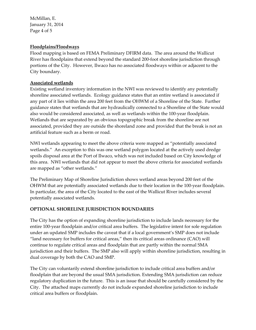McMillan, E. January 31, 2014 Page 4 of 5

# **Floodplains/Floodways**

Flood mapping is based on FEMA Preliminary DFIRM data. The area around the Wallicut River has floodplains that extend beyond the standard 200-foot shoreline jurisdiction through portions of the City. However, Ilwaco has no associated floodways within or adjacent to the City boundary.

# **Associated wetlands**

Existing wetland inventory information in the NWI was reviewed to identify any potentially shoreline associated wetlands. Ecology guidance states that an entire wetland is associated if any part of it lies within the area 200 feet from the OHWM of a Shoreline of the State. Further guidance states that wetlands that are hydraulically connected to a Shoreline of the State would also would be considered associated, as well as wetlands within the 100-year floodplain. Wetlands that are separated by an obvious topographic break from the shoreline are not associated, provided they are outside the shoreland zone and provided that the break is not an artificial feature such as a berm or road.

NWI wetlands appearing to meet the above criteria were mapped as "potentially associated wetlands." An exception to this was one wetland polygon located at the actively used dredge spoils disposal area at the Port of Ilwaco, which was not included based on City knowledge of this area. NWI wetlands that did not appear to meet the above criteria for associated wetlands are mapped as "other wetlands."

The Preliminary Map of Shoreline Jurisdiction shows wetland areas beyond 200 feet of the OHWM that are potentially associated wetlands due to their location in the 100-year floodplain. In particular, the area of the City located to the east of the Wallicut River includes several potentially associated wetlands.

# **OPTIONAL SHORELINE JURISDICTION BOUNDARIES**

The City has the option of expanding shoreline jurisdiction to include lands necessary for the entire 100-year floodplain and/or critical area buffers. The legislative intent for sole regulation under an updated SMP includes the caveat that if a local government's SMP does not include "land necessary for buffers for critical areas," then its critical areas ordinance (CAO) will continue to regulate critical areas and floodplain that are partly within the normal SMA jurisdiction and their buffers. The SMP also will apply within shoreline jurisdiction, resulting in dual coverage by both the CAO and SMP.

The City can voluntarily extend shoreline jurisdiction to include critical area buffers and/or floodplain that are beyond the usual SMA jurisdiction. Extending SMA jurisdiction can reduce regulatory duplication in the future. This is an issue that should be carefully considered by the City. The attached maps currently do not include expanded shoreline jurisdiction to include critical area buffers or floodplain.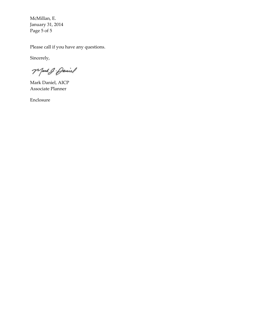McMillan, E. January 31, 2014 Page 5 of 5

Please call if you have any questions.

Sincerely,

Mark J. Daniel

Mark Daniel, AICP Associate Planner

Enclosure